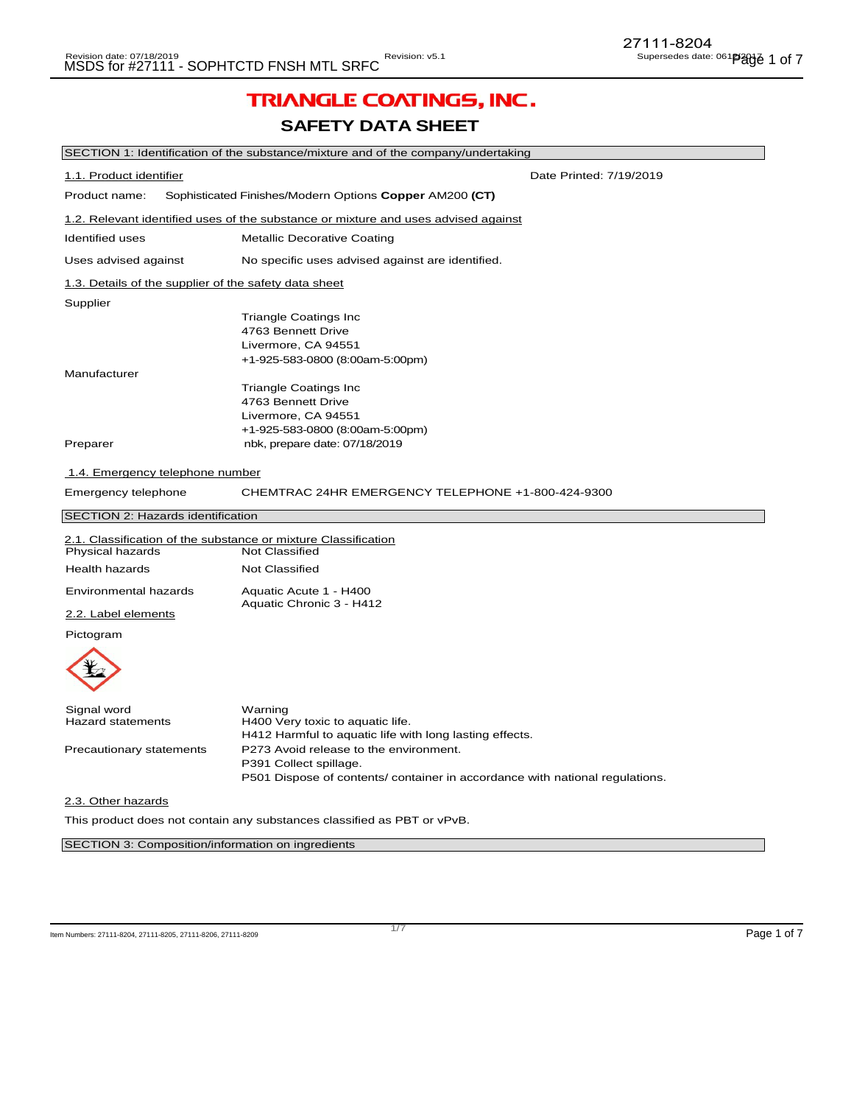# TRIANGLE COATINGS, INC.

## **SAFETY DATA SHEET**

|                                                                         | SECTION 1: Identification of the substance/mixture and of the company/undertaking  |  |
|-------------------------------------------------------------------------|------------------------------------------------------------------------------------|--|
| 1.1. Product identifier                                                 | Date Printed: 7/19/2019                                                            |  |
| Product name:                                                           | Sophisticated Finishes/Modern Options Copper AM200 (CT)                            |  |
|                                                                         | 1.2. Relevant identified uses of the substance or mixture and uses advised against |  |
| <b>Identified uses</b>                                                  | <b>Metallic Decorative Coating</b>                                                 |  |
| Uses advised against                                                    | No specific uses advised against are identified.                                   |  |
| 1.3. Details of the supplier of the safety data sheet                   |                                                                                    |  |
| Supplier                                                                |                                                                                    |  |
|                                                                         | <b>Triangle Coatings Inc</b>                                                       |  |
|                                                                         | 4763 Bennett Drive                                                                 |  |
|                                                                         | Livermore, CA 94551                                                                |  |
|                                                                         | +1-925-583-0800 (8:00am-5:00pm)                                                    |  |
| Manufacturer                                                            |                                                                                    |  |
|                                                                         | <b>Triangle Coatings Inc</b>                                                       |  |
|                                                                         | 4763 Bennett Drive                                                                 |  |
|                                                                         | Livermore, CA 94551                                                                |  |
|                                                                         |                                                                                    |  |
|                                                                         | +1-925-583-0800 (8:00am-5:00pm)                                                    |  |
| Preparer                                                                | nbk, prepare date: 07/18/2019                                                      |  |
| 1.4. Emergency telephone number                                         |                                                                                    |  |
| Emergency telephone                                                     | CHEMTRAC 24HR EMERGENCY TELEPHONE +1-800-424-9300                                  |  |
| SECTION 2: Hazards identification                                       |                                                                                    |  |
|                                                                         | 2.1. Classification of the substance or mixture Classification                     |  |
| Physical hazards                                                        | Not Classified                                                                     |  |
|                                                                         |                                                                                    |  |
| <b>Health hazards</b>                                                   | <b>Not Classified</b>                                                              |  |
| Environmental hazards                                                   | Aquatic Acute 1 - H400<br>Aquatic Chronic 3 - H412                                 |  |
| 2.2. Label elements                                                     |                                                                                    |  |
| Pictogram                                                               |                                                                                    |  |
|                                                                         |                                                                                    |  |
| Signal word                                                             | Warning                                                                            |  |
| <b>Hazard statements</b>                                                | H400 Very toxic to aquatic life.                                                   |  |
|                                                                         | H412 Harmful to aquatic life with long lasting effects.                            |  |
| Precautionary statements                                                | P273 Avoid release to the environment.                                             |  |
|                                                                         | P391 Collect spillage.                                                             |  |
|                                                                         | P501 Dispose of contents/ container in accordance with national regulations.       |  |
| 2.3. Other hazards                                                      |                                                                                    |  |
| This product does not contain any substances classified as PBT or vPvB. |                                                                                    |  |
|                                                                         |                                                                                    |  |
|                                                                         |                                                                                    |  |
| SECTION 3: Composition/information on ingredients                       |                                                                                    |  |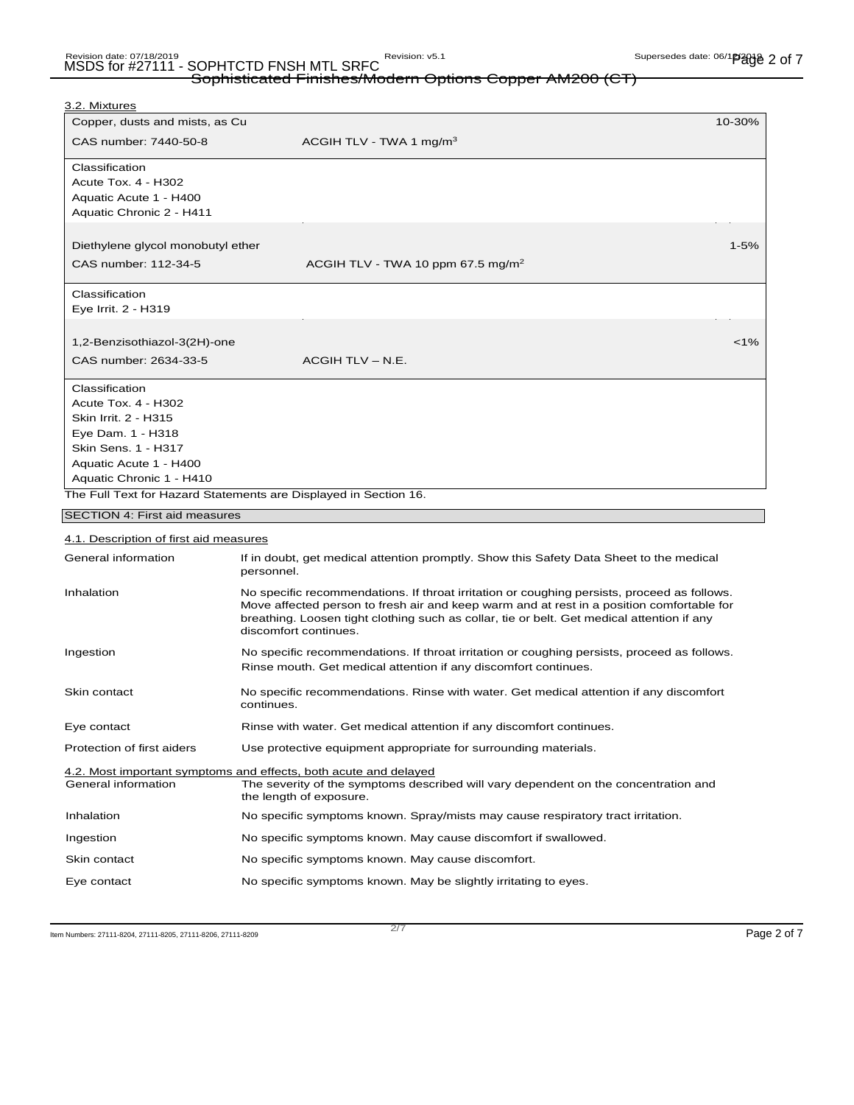## Sophisticated Finishes/Modern Options Copper AM200 (CT)

| <u>3.2. Mixtures</u>                   |                                                                                                                                                                                                                                                                                                                 |          |
|----------------------------------------|-----------------------------------------------------------------------------------------------------------------------------------------------------------------------------------------------------------------------------------------------------------------------------------------------------------------|----------|
| Copper, dusts and mists, as Cu         | 10-30%                                                                                                                                                                                                                                                                                                          |          |
| CAS number: 7440-50-8                  | ACGIH TLV - TWA 1 $mg/m3$                                                                                                                                                                                                                                                                                       |          |
| Classification                         |                                                                                                                                                                                                                                                                                                                 |          |
| <b>Acute Tox. 4 - H302</b>             |                                                                                                                                                                                                                                                                                                                 |          |
| Aquatic Acute 1 - H400                 |                                                                                                                                                                                                                                                                                                                 |          |
| Aquatic Chronic 2 - H411               |                                                                                                                                                                                                                                                                                                                 |          |
| Diethylene glycol monobutyl ether      |                                                                                                                                                                                                                                                                                                                 | $1 - 5%$ |
| CAS number: 112-34-5                   | ACGIH TLV - TWA 10 ppm 67.5 mg/m <sup>2</sup>                                                                                                                                                                                                                                                                   |          |
| Classification                         |                                                                                                                                                                                                                                                                                                                 |          |
| Eye Irrit. 2 - H319                    |                                                                                                                                                                                                                                                                                                                 |          |
| 1,2-Benzisothiazol-3(2H)-one           |                                                                                                                                                                                                                                                                                                                 | $< 1\%$  |
| CAS number: 2634-33-5                  | ACGIH TLV - N.E.                                                                                                                                                                                                                                                                                                |          |
| Classification                         |                                                                                                                                                                                                                                                                                                                 |          |
| <b>Acute Tox. 4 - H302</b>             |                                                                                                                                                                                                                                                                                                                 |          |
| Skin Irrit. 2 - H315                   |                                                                                                                                                                                                                                                                                                                 |          |
| Eye Dam. 1 - H318                      |                                                                                                                                                                                                                                                                                                                 |          |
| Skin Sens. 1 - H317                    |                                                                                                                                                                                                                                                                                                                 |          |
| Aquatic Acute 1 - H400                 |                                                                                                                                                                                                                                                                                                                 |          |
| Aquatic Chronic 1 - H410               |                                                                                                                                                                                                                                                                                                                 |          |
|                                        | The Full Text for Hazard Statements are Displayed in Section 16.                                                                                                                                                                                                                                                |          |
| SECTION 4: First aid measures          |                                                                                                                                                                                                                                                                                                                 |          |
| 4.1. Description of first aid measures |                                                                                                                                                                                                                                                                                                                 |          |
| General information                    | If in doubt, get medical attention promptly. Show this Safety Data Sheet to the medical<br>personnel.                                                                                                                                                                                                           |          |
| Inhalation                             | No specific recommendations. If throat irritation or coughing persists, proceed as follows.<br>Move affected person to fresh air and keep warm and at rest in a position comfortable for<br>breathing. Loosen tight clothing such as collar, tie or belt. Get medical attention if any<br>discomfort continues. |          |
| Ingestion                              | No specific recommendations. If throat irritation or coughing persists, proceed as follows.<br>Rinse mouth. Get medical attention if any discomfort continues.                                                                                                                                                  |          |
| Skin contact                           | No specific recommendations. Rinse with water. Get medical attention if any discomfort<br>continues.                                                                                                                                                                                                            |          |
| Eye contact                            | Rinse with water. Get medical attention if any discomfort continues.                                                                                                                                                                                                                                            |          |
| Protection of first aiders             | Use protective equipment appropriate for surrounding materials.                                                                                                                                                                                                                                                 |          |
| General information                    | 4.2. Most important symptoms and effects, both acute and delayed<br>The severity of the symptoms described will vary dependent on the concentration and<br>the length of exposure.                                                                                                                              |          |
| Inhalation                             | No specific symptoms known. Spray/mists may cause respiratory tract irritation.                                                                                                                                                                                                                                 |          |
| Ingestion                              | No specific symptoms known. May cause discomfort if swallowed.                                                                                                                                                                                                                                                  |          |
| Skin contact                           | No specific symptoms known. May cause discomfort.                                                                                                                                                                                                                                                               |          |
| Eye contact                            | No specific symptoms known. May be slightly irritating to eyes.                                                                                                                                                                                                                                                 |          |

Item Numbers: 27111-8204, 27111-8205, 27111-8206, 27111-8209 Page 2 of 7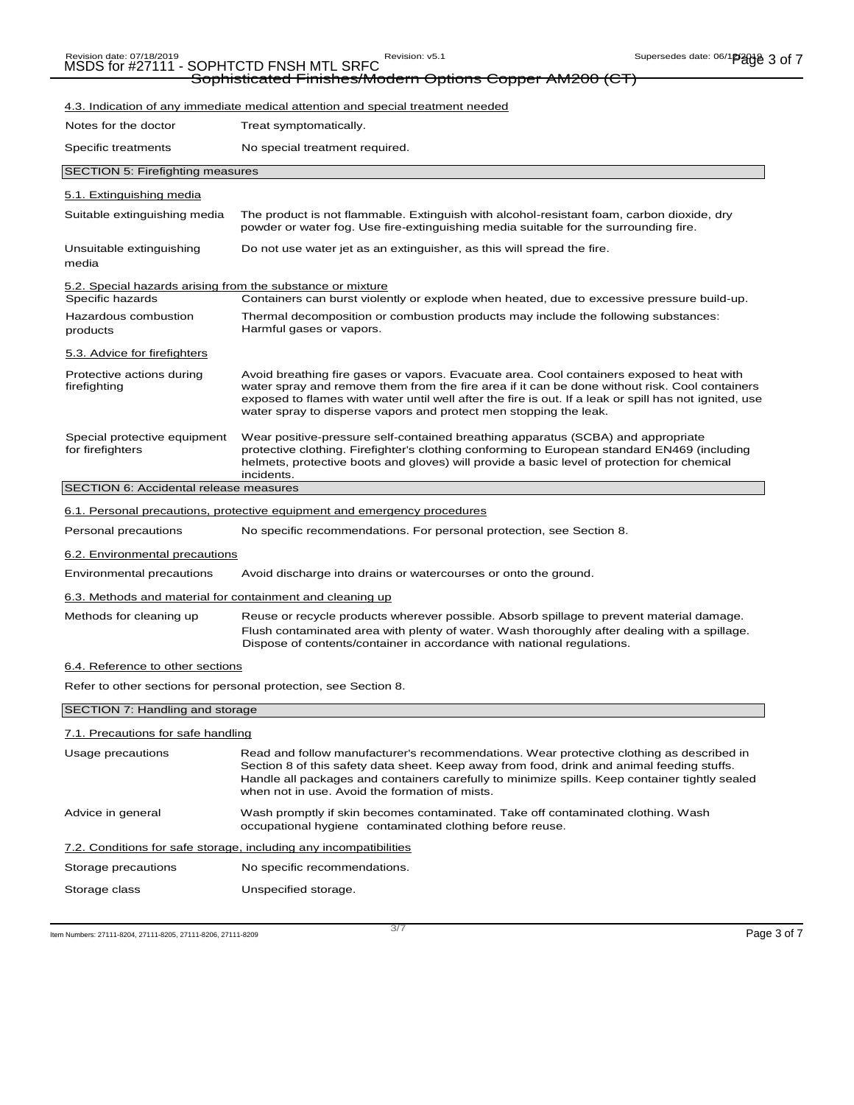## Revision date: 07/18/2019<br>MSDS for #27111 - SOPHTCTD FNSH MTL SRFC Revision: v5.1

Sophisticated Finishes/Modern Options Copper AM200 (CT)

### 4.3. Indication of any immediate medical attention and special treatment needed Notes for the doctor Treat symptomatically. Specific treatments No special treatment required. SECTION 5: Firefighting measures 5.1. Extinguishing media Suitable extinguishing media The product is not flammable. Extinguish with alcohol-resistant foam, carbon dioxide, dry powder or water fog. Use fire-extinguishing media suitable for the surrounding fire. Unsuitable extinguishing Do not use water jet as an extinguisher, as this will spread the fire. media 5.2. Special hazards arising from the substance or mixture<br>Specific hazards Containers can burst violer Containers can burst violently or explode when heated, due to excessive pressure build-up. Hazardous combustion products 5.3. Advice for firefighters Thermal decomposition or combustion products may include the following substances: Harmful gases or vapors. Protective actions during firefighting Avoid breathing fire gases or vapors. Evacuate area. Cool containers exposed to heat with water spray and remove them from the fire area if it can be done without risk. Cool containers exposed to flames with water until well after the fire is out. If a leak or spill has not ignited, use water spray to disperse vapors and protect men stopping the leak. Special protective equipment for firefighters Wear positive-pressure self-contained breathing apparatus (SCBA) and appropriate protective clothing. Firefighter's clothing conforming to European standard EN469 (including helmets, protective boots and gloves) will provide a basic level of protection for chemical incidents. SECTION 6: Accidental release measures 6.1. Personal precautions, protective equipment and emergency procedures Personal precautions No specific recommendations. For personal protection, see Section 8. 6.2. Environmental precautions Environmental precautions Avoid discharge into drains or watercourses or onto the ground. 6.3. Methods and material for containment and cleaning up Methods for cleaning up Reuse or recycle products wherever possible. Absorb spillage to prevent material damage. Flush contaminated area with plenty of water. Wash thoroughly after dealing with a spillage. Dispose of contents/container in accordance with national regulations. 6.4. Reference to other sections Refer to other sections for personal protection, see Section 8. SECTION 7: Handling and storage 7.1. Precautions for safe handling

| Usage precautions                                                 | Read and follow manufacturer's recommendations. Wear protective clothing as described in<br>Section 8 of this safety data sheet. Keep away from food, drink and animal feeding stuffs.<br>Handle all packages and containers carefully to minimize spills. Keep container tightly sealed<br>when not in use. Avoid the formation of mists. |
|-------------------------------------------------------------------|--------------------------------------------------------------------------------------------------------------------------------------------------------------------------------------------------------------------------------------------------------------------------------------------------------------------------------------------|
| Advice in general                                                 | Wash promptly if skin becomes contaminated. Take off contaminated clothing. Wash<br>occupational hygiene contaminated clothing before reuse.                                                                                                                                                                                               |
| 7.2. Conditions for safe storage, including any incompatibilities |                                                                                                                                                                                                                                                                                                                                            |
| Storage precautions                                               | No specific recommendations.                                                                                                                                                                                                                                                                                                               |
| Storage class                                                     | Unspecified storage.                                                                                                                                                                                                                                                                                                                       |

Item Numbers: 27111-8204, 27111-8205, 27111-8206, 27111-8209 Page 3 of 7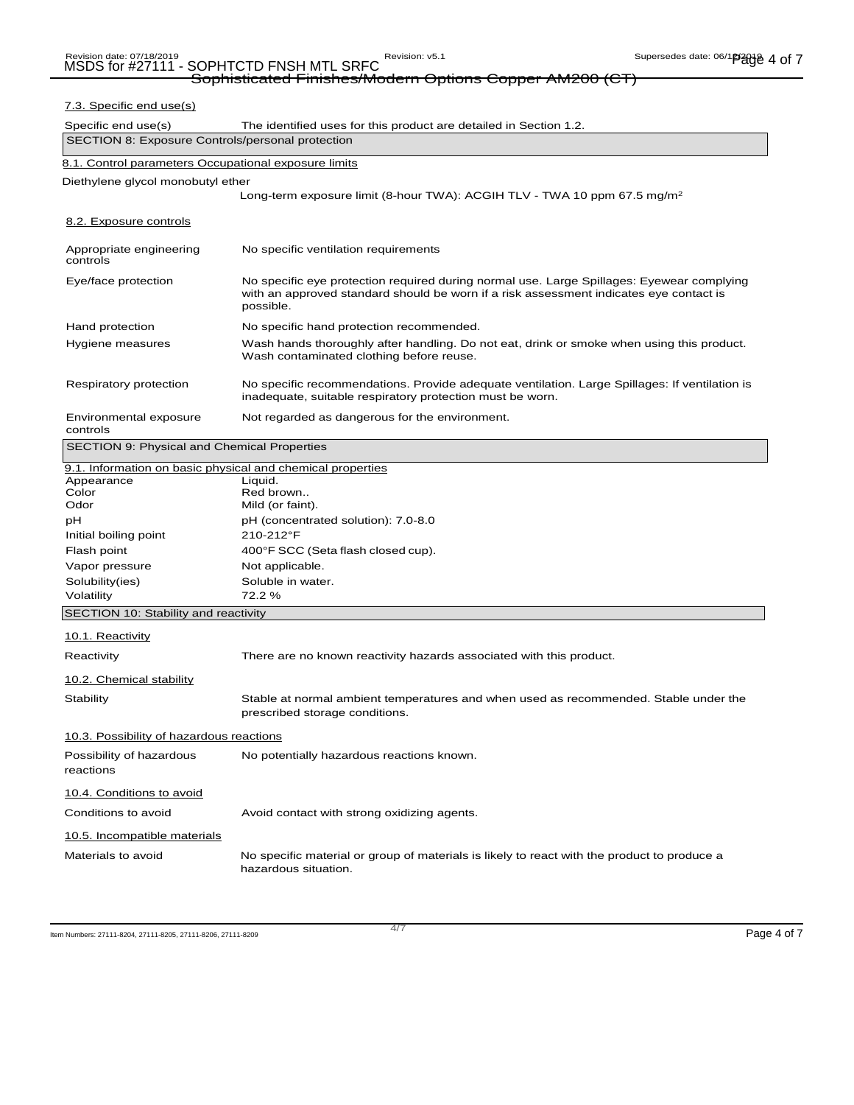## Sophisticated Finishes/Modern Options Copper AM200 (CT) 7.3. Specific end use(s) Specific end use(s) The identified uses for this product are detailed in Section 1.2. SECTION 8: Exposure Controls/personal protection 8.1. Control parameters Occupational exposure limits Diethylene glycol monobutyl ether Long-term exposure limit (8-hour TWA): ACGIH TLV - TWA 10 ppm 67.5 mg/m<sup>2</sup> 8.2. Exposure controls Appropriate engineering controls No specific ventilation requirements Eye/face protection No specific eye protection required during normal use. Large Spillages: Eyewear complying with an approved standard should be worn if a risk assessment indicates eye contact is possible. Hand protection **No specific hand protection recommended.** Hygiene measures Wash hands thoroughly after handling. Do not eat, drink or smoke when using this product. Wash contaminated clothing before reuse. Respiratory protection No specific recommendations. Provide adequate ventilation. Large Spillages: If ventilation is inadequate, suitable respiratory protection must be worn. Environmental exposure controls Not regarded as dangerous for the environment. SECTION 9: Physical and Chemical Properties 9.1. Information on basic physical and chemical properties Appearance Liquid.<br>Color Red br Color Red brown.. Mild (or faint). pH (concentrated solution): 7.0-8.0 Initial boiling point 210-212°F Flash point **400°F** SCC (Seta flash closed cup). Vapor pressure Not applicable. Solubility(ies) Soluble in water. Volatility 72.2 % SECTION 10: Stability and reactivity 10.1. Reactivity Reactivity **There are no known reactivity hazards associated with this product.** 10.2. Chemical stability Stability Stable at normal ambient temperatures and when used as recommended. Stable under the prescribed storage conditions. 10.3. Possibility of hazardous reactions Possibility of hazardous No potentially hazardous reactions known. reactions 10.4. Conditions to avoid Conditions to avoid **Avoid contact with strong oxidizing agents.**

10.5. Incompatible materials Materials to avoid No specific material or group of materials is likely to react with the product to produce a hazardous situation.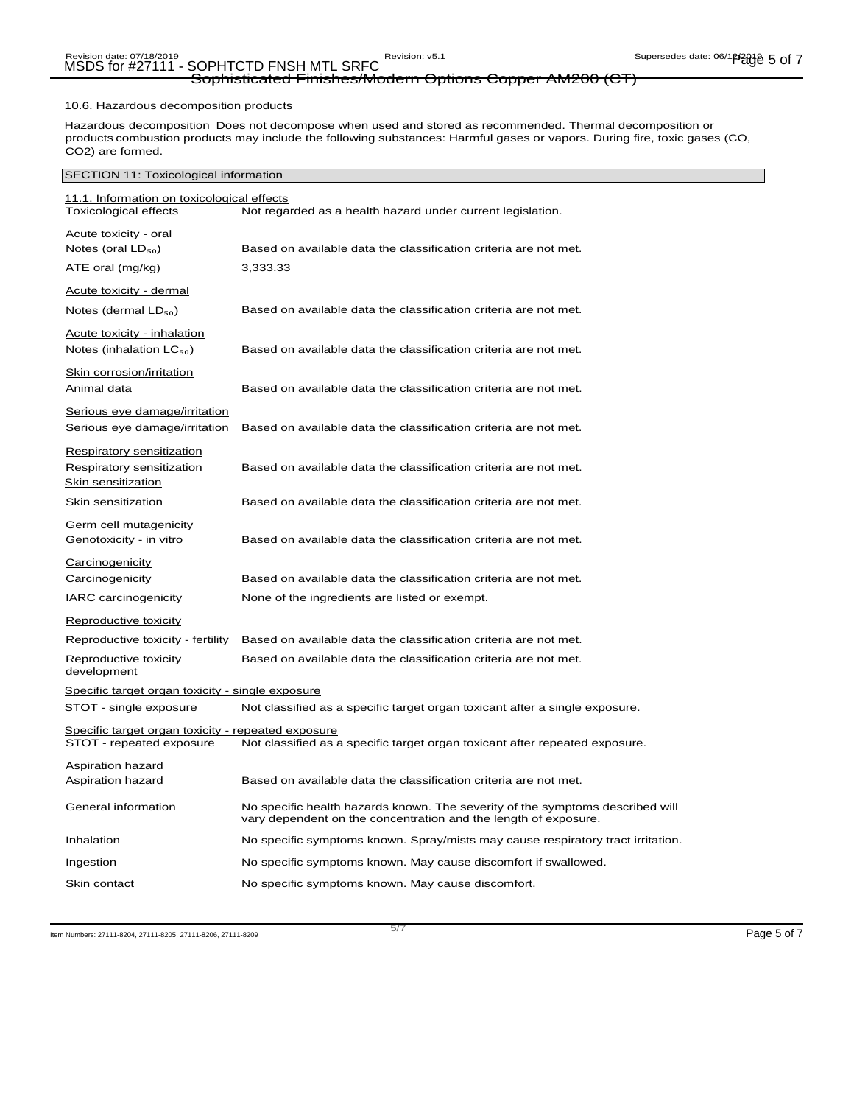## Revision date: 07/18/2019<br>MSDS for #27111 - SOPHTCTD FNSH MTL SRFC Revision: v5.1 Supersedes date: 06/19/2010 1013 Sophisticated Finishes/Modern Options Copper AM200 (CT)

#### 10.6. Hazardous decomposition products

Hazardous decomposition Does not decompose when used and stored as recommended. Thermal decomposition or products combustion products may include the following substances: Harmful gases or vapors. During fire, toxic gases (CO, CO2) are formed.

#### SECTION 11: Toxicological information

| 11.1. Information on toxicological effects              |                                                                                                                                                  |
|---------------------------------------------------------|--------------------------------------------------------------------------------------------------------------------------------------------------|
| <b>Toxicological effects</b>                            | Not regarded as a health hazard under current legislation.                                                                                       |
| Acute toxicity - oral                                   |                                                                                                                                                  |
| Notes (oral $LD_{50}$ )                                 | Based on available data the classification criteria are not met.                                                                                 |
| ATE oral (mg/kg)                                        | 3,333.33                                                                                                                                         |
| Acute toxicity - dermal                                 |                                                                                                                                                  |
| Notes (dermal $LD_{50}$ )                               | Based on available data the classification criteria are not met.                                                                                 |
| <b>Acute toxicity - inhalation</b>                      |                                                                                                                                                  |
| Notes (inhalation $LC_{50}$ )                           | Based on available data the classification criteria are not met.                                                                                 |
| <u>Skin corrosion/irritation</u>                        |                                                                                                                                                  |
| Animal data                                             | Based on available data the classification criteria are not met.                                                                                 |
| Serious eye damage/irritation                           |                                                                                                                                                  |
| Serious eye damage/irritation                           | Based on available data the classification criteria are not met.                                                                                 |
| <b>Respiratory sensitization</b>                        |                                                                                                                                                  |
| Respiratory sensitization                               | Based on available data the classification criteria are not met.                                                                                 |
| Skin sensitization                                      |                                                                                                                                                  |
| Skin sensitization                                      | Based on available data the classification criteria are not met.                                                                                 |
| Germ cell mutagenicity                                  |                                                                                                                                                  |
| Genotoxicity - in vitro                                 | Based on available data the classification criteria are not met.                                                                                 |
| Carcinogenicity                                         |                                                                                                                                                  |
| Carcinogenicity                                         | Based on available data the classification criteria are not met.                                                                                 |
| <b>IARC</b> carcinogenicity                             | None of the ingredients are listed or exempt.                                                                                                    |
| Reproductive toxicity                                   |                                                                                                                                                  |
| Reproductive toxicity - fertility                       | Based on available data the classification criteria are not met.                                                                                 |
| Reproductive toxicity<br>development                    | Based on available data the classification criteria are not met.                                                                                 |
| <u>Specific target organ toxicity - single exposure</u> |                                                                                                                                                  |
| STOT - single exposure                                  | Not classified as a specific target organ toxicant after a single exposure.                                                                      |
| Specific target organ toxicity - repeated exposure      |                                                                                                                                                  |
| STOT - repeated exposure                                | Not classified as a specific target organ toxicant after repeated exposure.                                                                      |
| <b>Aspiration hazard</b>                                |                                                                                                                                                  |
| Aspiration hazard                                       | Based on available data the classification criteria are not met.                                                                                 |
| General information                                     | No specific health hazards known. The severity of the symptoms described will<br>vary dependent on the concentration and the length of exposure. |
| Inhalation                                              | No specific symptoms known. Spray/mists may cause respiratory tract irritation.                                                                  |
| Ingestion                                               | No specific symptoms known. May cause discomfort if swallowed.                                                                                   |
| Skin contact                                            | No specific symptoms known. May cause discomfort.                                                                                                |

Item Numbers: 27111-8204, 27111-8205, 27111-8206, 27111-8209 Page 5 of 7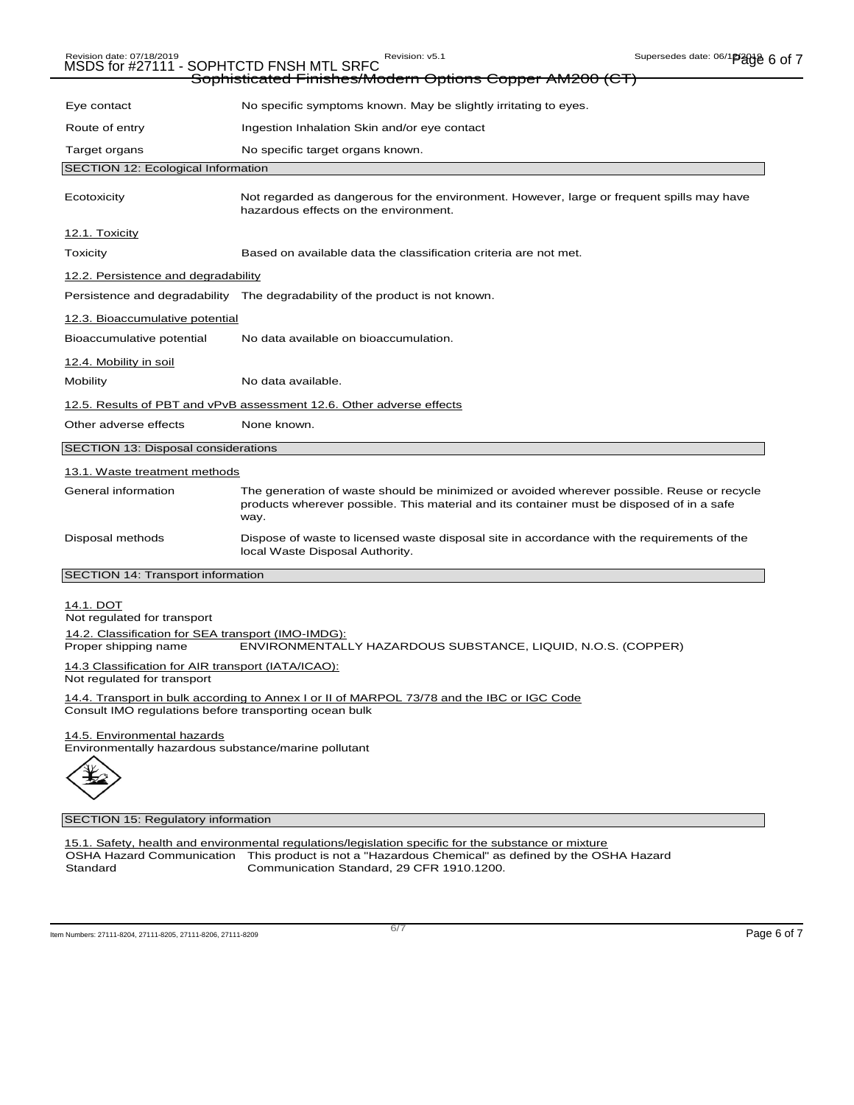|                                                                                                                                                      | Sophisticated Finishes/Modern Options Copper AM200 (CT)                                                                                                                                         |  |
|------------------------------------------------------------------------------------------------------------------------------------------------------|-------------------------------------------------------------------------------------------------------------------------------------------------------------------------------------------------|--|
|                                                                                                                                                      |                                                                                                                                                                                                 |  |
| Eye contact                                                                                                                                          | No specific symptoms known. May be slightly irritating to eyes.                                                                                                                                 |  |
| Route of entry                                                                                                                                       | Ingestion Inhalation Skin and/or eye contact                                                                                                                                                    |  |
| Target organs                                                                                                                                        | No specific target organs known.                                                                                                                                                                |  |
| SECTION 12: Ecological Information                                                                                                                   |                                                                                                                                                                                                 |  |
| Ecotoxicity                                                                                                                                          | Not regarded as dangerous for the environment. However, large or frequent spills may have<br>hazardous effects on the environment.                                                              |  |
| 12.1. Toxicity                                                                                                                                       |                                                                                                                                                                                                 |  |
| <b>Toxicity</b>                                                                                                                                      | Based on available data the classification criteria are not met.                                                                                                                                |  |
| 12.2. Persistence and degradability                                                                                                                  |                                                                                                                                                                                                 |  |
|                                                                                                                                                      | Persistence and degradability The degradability of the product is not known.                                                                                                                    |  |
| 12.3. Bioaccumulative potential                                                                                                                      |                                                                                                                                                                                                 |  |
| Bioaccumulative potential                                                                                                                            | No data available on bioaccumulation.                                                                                                                                                           |  |
| 12.4. Mobility in soil                                                                                                                               |                                                                                                                                                                                                 |  |
| Mobility                                                                                                                                             | No data available.                                                                                                                                                                              |  |
|                                                                                                                                                      | 12.5. Results of PBT and vPvB assessment 12.6. Other adverse effects                                                                                                                            |  |
| Other adverse effects                                                                                                                                | None known.                                                                                                                                                                                     |  |
| SECTION 13: Disposal considerations                                                                                                                  |                                                                                                                                                                                                 |  |
| 13.1. Waste treatment methods                                                                                                                        |                                                                                                                                                                                                 |  |
| General information                                                                                                                                  | The generation of waste should be minimized or avoided wherever possible. Reuse or recycle<br>products wherever possible. This material and its container must be disposed of in a safe<br>way. |  |
| Disposal methods                                                                                                                                     | Dispose of waste to licensed waste disposal site in accordance with the requirements of the<br>local Waste Disposal Authority.                                                                  |  |
| SECTION 14: Transport information                                                                                                                    |                                                                                                                                                                                                 |  |
| 14.1. DOT<br>Not regulated for transport<br>14.2. Classification for SEA transport (IMO-IMDG):                                                       |                                                                                                                                                                                                 |  |
| Proper shipping name                                                                                                                                 | ENVIRONMENTALLY HAZARDOUS SUBSTANCE, LIQUID, N.O.S. (COPPER)                                                                                                                                    |  |
| 14.3 Classification for AIR transport (IATA/ICAO):<br>Not regulated for transport                                                                    |                                                                                                                                                                                                 |  |
| 14.4. Transport in bulk according to Annex I or II of MARPOL 73/78 and the IBC or IGC Code<br>Consult IMO regulations before transporting ocean bulk |                                                                                                                                                                                                 |  |
| 14.5. Environmental hazards<br>Environmentally hazardous substance/marine pollutant                                                                  |                                                                                                                                                                                                 |  |



### SECTION 15: Regulatory information

15.1. Safety, health and environmental regulations/legislation specific for the substance or mixture OSHA Hazard Communication Standard This product is not a "Hazardous Chemical" as defined by the OSHA Hazard Communication Standard, 29 CFR 1910.1200.